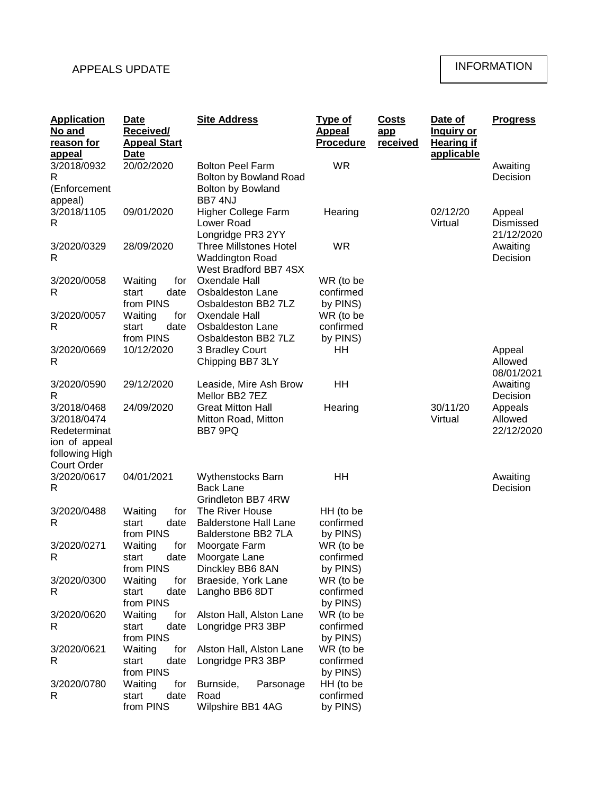## APPEALS UPDATE

## INFORMATION

| <b>Application</b><br>No and<br>reason for                                         | Date<br>Received/<br><b>Appeal Start</b>                       | <b>Site Address</b>                                                                            | <u>Type of</u><br><b>Appeal</b><br><b>Procedure</b> | <u>Costs</u><br>app<br>received | Date of<br><u>Inquiry or</u><br><b>Hearing if</b> | <b>Progress</b>                              |
|------------------------------------------------------------------------------------|----------------------------------------------------------------|------------------------------------------------------------------------------------------------|-----------------------------------------------------|---------------------------------|---------------------------------------------------|----------------------------------------------|
| <u>appeal</u><br>3/2018/0932<br>R<br>(Enforcement<br>appeal)                       | <u>Date</u><br>20/02/2020                                      | <b>Bolton Peel Farm</b><br><b>Bolton by Bowland Road</b><br><b>Bolton by Bowland</b><br>BB74NJ | <b>WR</b>                                           |                                 | applicable                                        | Awaiting<br>Decision                         |
| 3/2018/1105<br>R                                                                   | 09/01/2020                                                     | <b>Higher College Farm</b><br>Lower Road<br>Longridge PR3 2YY                                  | Hearing                                             |                                 | 02/12/20<br>Virtual                               | Appeal<br>Dismissed<br>21/12/2020            |
| 3/2020/0329<br>R                                                                   | 28/09/2020                                                     | <b>Three Millstones Hotel</b><br><b>Waddington Road</b><br>West Bradford BB7 4SX               | <b>WR</b>                                           |                                 |                                                   | Awaiting<br>Decision                         |
| 3/2020/0058<br>R<br>3/2020/0057                                                    | for<br>Waiting<br>start<br>date<br>from PINS<br>for<br>Waiting | Oxendale Hall<br>Osbaldeston Lane<br>Osbaldeston BB2 7LZ<br>Oxendale Hall                      | WR (to be<br>confirmed<br>by PINS)<br>WR (to be     |                                 |                                                   |                                              |
| R<br>3/2020/0669                                                                   | date<br>start<br>from PINS<br>10/12/2020                       | Osbaldeston Lane<br>Osbaldeston BB2 7LZ<br>3 Bradley Court                                     | confirmed<br>by PINS)<br>HH                         |                                 |                                                   | Appeal                                       |
| R<br>3/2020/0590                                                                   | 29/12/2020                                                     | Chipping BB7 3LY<br>Leaside, Mire Ash Brow                                                     | HH                                                  |                                 |                                                   | Allowed<br>08/01/2021<br>Awaiting            |
| R<br>3/2018/0468<br>3/2018/0474<br>Redeterminat<br>ion of appeal<br>following High | 24/09/2020                                                     | Mellor BB2 7EZ<br><b>Great Mitton Hall</b><br>Mitton Road, Mitton<br>BB7 9PQ                   | Hearing                                             |                                 | 30/11/20<br>Virtual                               | Decision<br>Appeals<br>Allowed<br>22/12/2020 |
| <b>Court Order</b><br>3/2020/0617<br>R                                             | 04/01/2021                                                     | <b>Wythenstocks Barn</b><br><b>Back Lane</b><br>Grindleton BB7 4RW                             | HН                                                  |                                 |                                                   | Awaiting<br>Decision                         |
| 3/2020/0488<br>R                                                                   | for<br>Waiting<br>start<br>date<br>from PINS                   | The River House<br><b>Balderstone Hall Lane</b><br><b>Balderstone BB2 7LA</b>                  | HH (to be<br>confirmed<br>by PINS)                  |                                 |                                                   |                                              |
| 3/2020/0271<br>R                                                                   | Waiting<br>for<br>start<br>date<br>from PINS                   | Moorgate Farm<br>Moorgate Lane<br>Dinckley BB6 8AN                                             | WR (to be<br>confirmed<br>by PINS)                  |                                 |                                                   |                                              |
| 3/2020/0300<br>R                                                                   | for<br>Waiting<br>start<br>date<br>from PINS                   | Braeside, York Lane<br>Langho BB6 8DT                                                          | WR (to be<br>confirmed<br>by PINS)                  |                                 |                                                   |                                              |
| 3/2020/0620<br>R                                                                   | Waiting<br>for<br>start<br>date<br>from PINS                   | Alston Hall, Alston Lane<br>Longridge PR3 3BP                                                  | WR (to be<br>confirmed<br>by PINS)                  |                                 |                                                   |                                              |
| 3/2020/0621<br>R                                                                   | Waiting<br>for<br>start<br>date<br>from PINS                   | Alston Hall, Alston Lane<br>Longridge PR3 3BP                                                  | WR (to be<br>confirmed<br>by PINS)                  |                                 |                                                   |                                              |
| 3/2020/0780<br>R                                                                   | Waiting<br>for<br>start<br>date<br>from PINS                   | Burnside,<br>Parsonage<br>Road<br>Wilpshire BB1 4AG                                            | HH (to be<br>confirmed<br>by PINS)                  |                                 |                                                   |                                              |